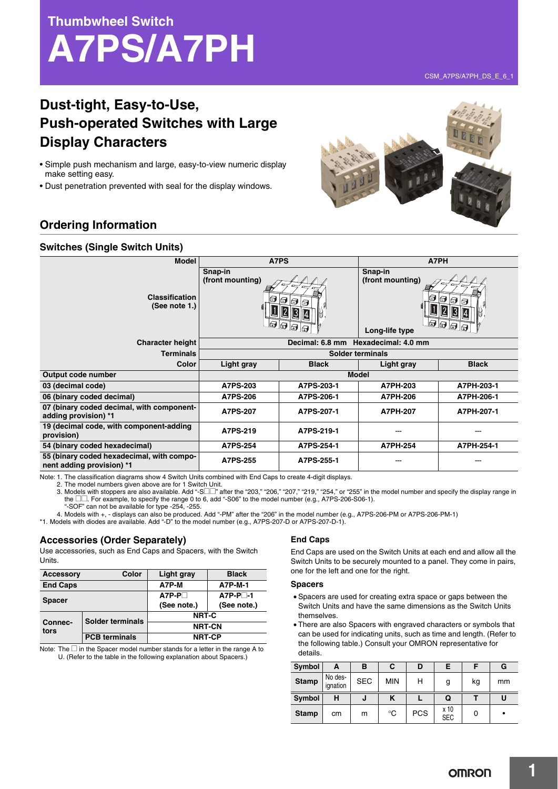**Thumbwheel Switch**



CSM\_A7PS/A7PH\_DS\_E\_6\_1

# **Dust-tight, Easy-to-Use, Push-operated Switches with Large Display Characters**

- Simple push mechanism and large, easy-to-view numeric display make setting easy.
- Dust penetration prevented with seal for the display windows.

## **Orde**

### **Switch**

| <b>Ordering Information</b>                                       |                                       |                                |                                               |                               |  |  |
|-------------------------------------------------------------------|---------------------------------------|--------------------------------|-----------------------------------------------|-------------------------------|--|--|
| <b>Switches (Single Switch Units)</b>                             |                                       |                                |                                               |                               |  |  |
| <b>Model</b>                                                      | A7PS                                  |                                | A7PH                                          |                               |  |  |
| <b>Classification</b><br>(See note 1.)                            | Snap-in<br>(front mounting)<br>6<br>ନ | 16<br>H<br>$\mathbb{Z}$<br>3 4 | Snap-in<br>(front mounting)<br>Long-life type | ⊟<br>$\overline{\Theta}$<br>ନ |  |  |
| <b>Character height</b>                                           |                                       |                                | Decimal: 6.8 mm Hexadecimal: 4.0 mm           |                               |  |  |
| <b>Terminals</b>                                                  |                                       |                                | Solder terminals                              |                               |  |  |
| <b>Color</b>                                                      | Light gray                            | <b>Black</b>                   | Light gray                                    | <b>Black</b>                  |  |  |
| Output code number                                                | <b>Model</b>                          |                                |                                               |                               |  |  |
| 03 (decimal code)                                                 | A7PS-203                              | A7PS-203-1                     | A7PH-203                                      | A7PH-203-1                    |  |  |
| 06 (binary coded decimal)                                         | A7PS-206                              | A7PS-206-1                     | A7PH-206                                      | A7PH-206-1                    |  |  |
| 07 (binary coded decimal, with component-<br>adding provision) *1 | <b>A7PS-207</b>                       | A7PS-207-1                     | A7PH-207                                      | A7PH-207-1                    |  |  |
| 19 (decimal code, with component-adding<br>provision)             | A7PS-219                              | A7PS-219-1                     |                                               |                               |  |  |
| 54 (binary coded hexadecimal)                                     | <b>A7PS-254</b>                       | A7PS-254-1                     | A7PH-254                                      | A7PH-254-1                    |  |  |

Note: 1. The classification diagrams show 4 Switch Units combined with End Caps to create 4-digit displays.

2. The model numbers given above are for 1 Switch Unit.<br>3. Models with stoppers are also available. Add "-S□□" after the "203," "206," "207," "219," "254," or "255" in the model number and specify the display range in the  $\square \square$ . For example, to specify the range 0 to 6, add "-S06" to the model number (e.g., A7PS-206-S06-1).

"-SOF" can not be available for type -254, -255. 4. Models with +, - displays can also be produced. Add "-PM" after the "206" in the model number (e.g., A7PS-206-PM or A7PS-206-PM-1)

**nent adding provision) \*1 A7PS-255 A7PS-255-1** --- ---

\*1. Models with diodes are available. Add "-D" to the model number (e.g., A7PS-207-D or A7PS-207-D-1).

#### **Accessories (Order Separately)**

**55 (binary coded hexadecimal, with compo-**

Use accessories, such as End Caps and Spacers, with the Switch Units.

| <b>Accessory</b> | Color                | <b>Light gray</b> | <b>Black</b> |  |  |
|------------------|----------------------|-------------------|--------------|--|--|
| <b>End Caps</b>  |                      | A7P-M             | A7P-M-1      |  |  |
| <b>Spacer</b>    |                      | $A7P-P$           | $A7P-P^{-1}$ |  |  |
|                  |                      | (See note.)       | (See note.)  |  |  |
|                  | Solder terminals     | NRT-C             |              |  |  |
| Connec-<br>tors  |                      | <b>NRT-CN</b>     |              |  |  |
|                  | <b>PCB</b> terminals | <b>NRT-CP</b>     |              |  |  |

Note: The  $\square$  in the Spacer model number stands for a letter in the range A to U. (Refer to the table in the following explanation about Spacers.)

#### **End Caps**

End Caps are used on the Switch Units at each end and allow all the Switch Units to be securely mounted to a panel. They come in pairs, one for the left and one for the right.

#### **Spacers**

- Spacers are used for creating extra space or gaps between the Switch Units and have the same dimensions as the Switch Units themselves.
- There are also Spacers with engraved characters or symbols that can be used for indicating units, such as time and length. (Refer to the following table.) Consult your OMRON representative for details.

| Symbol       | А                   | в          | С          | D |   |    | G  |
|--------------|---------------------|------------|------------|---|---|----|----|
| <b>Stamp</b> | No des-<br>ignation | <b>SEC</b> | <b>MIN</b> | н | g | kg | mm |
|              |                     |            |            |   |   |    |    |
| Symbol       | н                   | J          |            |   | Q |    |    |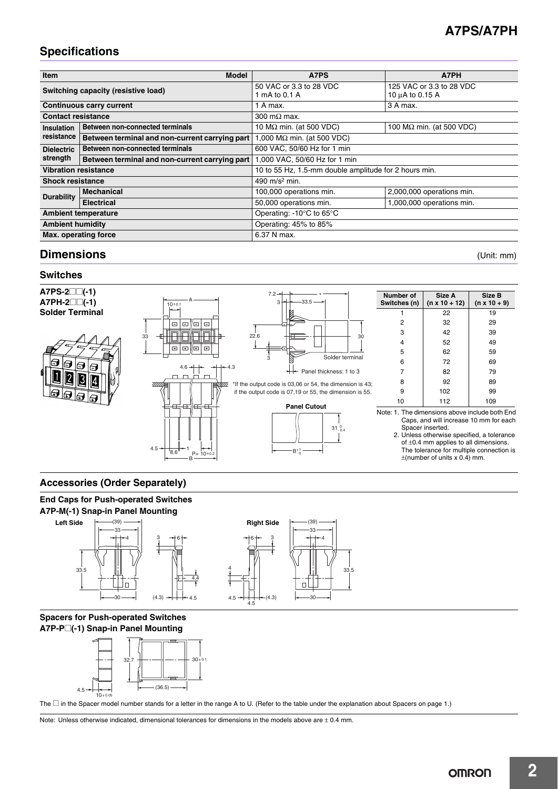# **A7PS/A7PH**

# **Specifications**

| <b>Item</b>                         | <b>Model</b>                                   | A7PS                                                  | A7PH                                        |  |  |  |
|-------------------------------------|------------------------------------------------|-------------------------------------------------------|---------------------------------------------|--|--|--|
| Switching capacity (resistive load) |                                                | 50 VAC or 3.3 to 28 VDC<br>1 mA to 0.1 A              | 125 VAC or 3.3 to 28 VDC<br>10 µA to 0.15 A |  |  |  |
| <b>Continuous carry current</b>     |                                                | 1 A max.                                              | 3 A max.                                    |  |  |  |
| <b>Contact resistance</b>           |                                                | 300 m $\Omega$ max.                                   |                                             |  |  |  |
| Insulation                          | Between non-connected terminals                | 10 $M\Omega$ min. (at 500 VDC)                        | 100 $M\Omega$ min. (at 500 VDC)             |  |  |  |
| resistance                          | Between terminal and non-current carrying part | 1,000 M $\Omega$ min. (at 500 VDC)                    |                                             |  |  |  |
| <b>Dielectric</b>                   | <b>Between non-connected terminals</b>         | 600 VAC, 50/60 Hz for 1 min                           |                                             |  |  |  |
| strength                            | Between terminal and non-current carrying part | 1,000 VAC, 50/60 Hz for 1 min                         |                                             |  |  |  |
| <b>Vibration resistance</b>         |                                                | 10 to 55 Hz, 1.5-mm double amplitude for 2 hours min. |                                             |  |  |  |
| <b>Shock resistance</b>             |                                                | 490 $m/s2$ min.                                       |                                             |  |  |  |
| <b>Durability</b>                   | <b>Mechanical</b>                              | 100,000 operations min.                               | 2,000,000 operations min.                   |  |  |  |
|                                     | <b>Electrical</b>                              | 50,000 operations min.                                | 1,000,000 operations min.                   |  |  |  |
| <b>Ambient temperature</b>          |                                                | Operating: -10°C to 65°C                              |                                             |  |  |  |
| <b>Ambient humidity</b>             |                                                | Operating: 45% to 85%                                 |                                             |  |  |  |
| <b>Max. operating force</b>         |                                                | 6.37 N max.                                           |                                             |  |  |  |

### **Dimensions** (Unit: mm)

### **Switches**



### **Accessories (Order Separately)**





### **Spacers for Push-operated Switches A7P-P**@**(-1) Snap-in Panel Mounting**



The □ in the Spacer model number stands for a letter in the range A to U. (Refer to the table under the explanation about Spacers on page 1.)

Note: Unless otherwise indicated, dimensional tolerances for dimensions in the models above are ± 0.4 mm.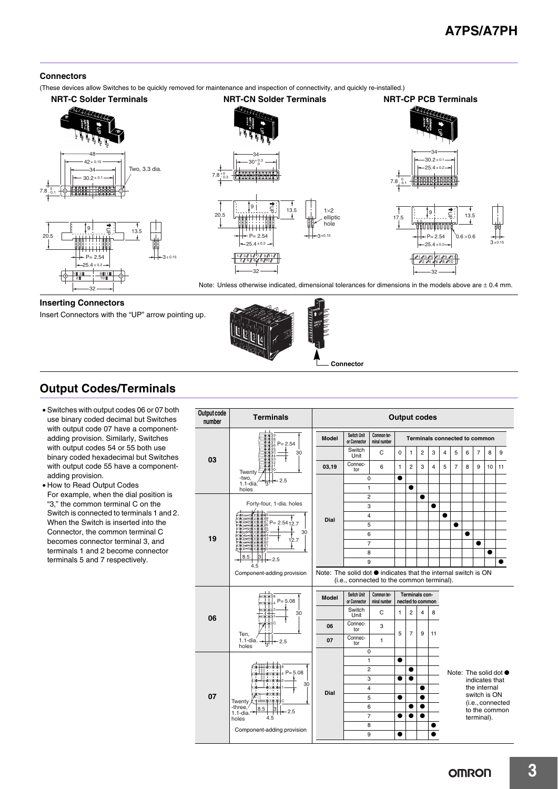### **Connectors**

(These devices allow Switches to be quickly removed for maintenance and inspection of connectivity, and quickly re-installed.)





Note: Unless otherwise indicated, dimensional tolerances for dimensions in the models above are  $\pm$  0.4 mm.

### **Inserting Connectors**

Insert Connectors with the "UP" arrow pointing up.



# **Output Codes/Terminals**

- Switches with output codes 06 or 07 both use binary coded decimal but Switches with output code 07 have a componentadding provision. Similarly, Switches with output codes 54 or 55 both use binary coded hexadecimal but Switches with output code 55 have a componentadding provision.
- How to Read Output Codes For example, when the dial position is "3," the common terminal C on the Switch is connected to terminals 1 and 2. When the Switch is inserted into the Connector, the common terminal C becomes connector terminal 3, and terminals 1 and 2 become connector terminals 5 and 7 respectively.

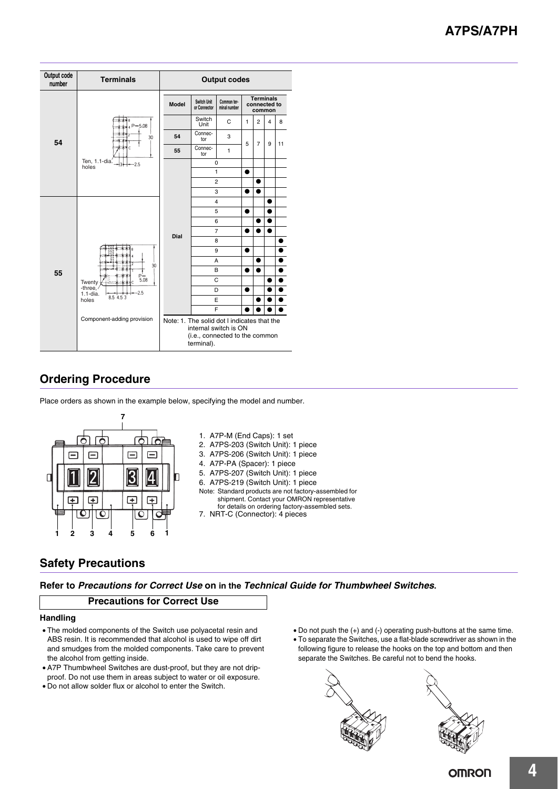# **A7PS/A7PH**

| Output code<br>number                           | <b>Terminals</b>                                  | <b>Output codes</b>                                                                                                  |                                                            |                |                                            |                |                |    |
|-------------------------------------------------|---------------------------------------------------|----------------------------------------------------------------------------------------------------------------------|------------------------------------------------------------|----------------|--------------------------------------------|----------------|----------------|----|
|                                                 | 未+ 8<br>$P = 5.08$<br>$+1+$                       | <b>Model</b>                                                                                                         | Switch Unit<br>Common ter-<br>or Connector<br>minal number |                | <b>Terminals</b><br>connected to<br>common |                |                |    |
|                                                 |                                                   |                                                                                                                      | Switch<br>Unit                                             | C              | $\mathbf{1}$                               | $\overline{2}$ | $\overline{4}$ | 8  |
| 54                                              | $\cdots$<br>30                                    | 54                                                                                                                   | Connec-<br>tor                                             | 3              | 5                                          | 7              | 9              | 11 |
|                                                 | 3.<br>C                                           | 55                                                                                                                   | Connec-<br>tor                                             | $\mathbf{1}$   |                                            |                |                |    |
|                                                 | Ten, 1.1-dia.<br>$-2.5$<br>31<br>holes            |                                                                                                                      |                                                            | $\mathbf 0$    |                                            |                |                |    |
|                                                 |                                                   |                                                                                                                      |                                                            | $\mathbf{1}$   |                                            |                |                |    |
|                                                 |                                                   |                                                                                                                      |                                                            | $\overline{2}$ |                                            |                |                |    |
|                                                 |                                                   |                                                                                                                      | 3                                                          |                |                                            |                |                |    |
|                                                 |                                                   |                                                                                                                      | $\overline{4}$                                             |                |                                            |                |                |    |
|                                                 |                                                   |                                                                                                                      | 5<br>6                                                     |                |                                            |                |                |    |
|                                                 |                                                   |                                                                                                                      |                                                            | $\overline{7}$ |                                            |                |                |    |
|                                                 |                                                   | Dial                                                                                                                 |                                                            | 8              |                                            |                |                |    |
| 55<br>Twenty<br>-three,<br>$1.1$ -dia.<br>holes | 8                                                 |                                                                                                                      |                                                            | 9              |                                            |                |                |    |
|                                                 |                                                   |                                                                                                                      |                                                            | A              |                                            | ●              |                |    |
|                                                 | 30<br>$P_{5.08}^{-1}$<br>Ċ<br>$-2.5$<br>8.5 4.5 3 |                                                                                                                      | B                                                          |                |                                            |                |                |    |
|                                                 |                                                   |                                                                                                                      |                                                            | C              |                                            |                |                |    |
|                                                 |                                                   |                                                                                                                      | D                                                          |                | $\bullet$                                  |                |                |    |
|                                                 |                                                   |                                                                                                                      |                                                            | E              |                                            |                |                |    |
|                                                 |                                                   |                                                                                                                      |                                                            | F              |                                            |                |                |    |
|                                                 | Component-adding provision                        | Note: 1. The solid dot I indicates that the<br>internal switch is ON<br>(i.e., connected to the common<br>terminal). |                                                            |                |                                            |                |                |    |

# **Ordering Procedure**

Place orders as shown in the example below, specifying the model and number.



## **Safety Precautions**

**Refer to** *Precautions for Correct Use* **on in the** *Technical Guide for Thumbwheel Switches***.**

### **Precautions for Correct Use**

### **Handling**

- The molded components of the Switch use polyacetal resin and ABS resin. It is recommended that alcohol is used to wipe off dirt and smudges from the molded components. Take care to prevent the alcohol from getting inside.
- A7P Thumbwheel Switches are dust-proof, but they are not dripproof. Do not use them in areas subject to water or oil exposure.
- Do not allow solder flux or alcohol to enter the Switch.
- Do not push the (+) and (-) operating push-buttons at the same time.
- To separate the Switches, use a flat-blade screwdriver as shown in the following figure to release the hooks on the top and bottom and then separate the Switches. Be careful not to bend the hooks.



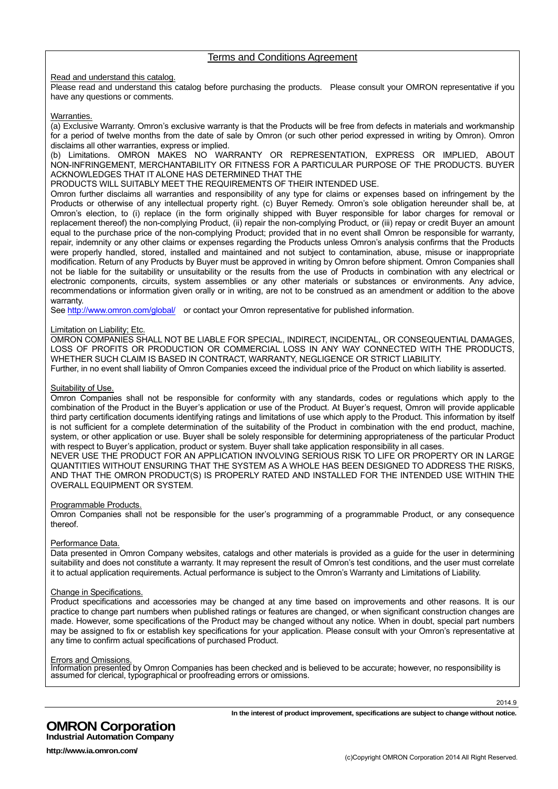### Terms and Conditions Agreement

Read and understand this catalog.

Please read and understand this catalog before purchasing the products. Please consult your OMRON representative if you have any questions or comments.

Warranties.

(a) Exclusive Warranty. Omron's exclusive warranty is that the Products will be free from defects in materials and workmanship for a period of twelve months from the date of sale by Omron (or such other period expressed in writing by Omron). Omron disclaims all other warranties, express or implied.

(b) Limitations. OMRON MAKES NO WARRANTY OR REPRESENTATION, EXPRESS OR IMPLIED, ABOUT NON-INFRINGEMENT, MERCHANTABILITY OR FITNESS FOR A PARTICULAR PURPOSE OF THE PRODUCTS. BUYER ACKNOWLEDGES THAT IT ALONE HAS DETERMINED THAT THE

PRODUCTS WILL SUITABLY MEET THE REQUIREMENTS OF THEIR INTENDED USE.

Omron further disclaims all warranties and responsibility of any type for claims or expenses based on infringement by the Products or otherwise of any intellectual property right. (c) Buyer Remedy. Omron's sole obligation hereunder shall be, at Omron's election, to (i) replace (in the form originally shipped with Buyer responsible for labor charges for removal or replacement thereof) the non-complying Product, (ii) repair the non-complying Product, or (iii) repay or credit Buyer an amount equal to the purchase price of the non-complying Product; provided that in no event shall Omron be responsible for warranty, repair, indemnity or any other claims or expenses regarding the Products unless Omron's analysis confirms that the Products were properly handled, stored, installed and maintained and not subject to contamination, abuse, misuse or inappropriate modification. Return of any Products by Buyer must be approved in writing by Omron before shipment. Omron Companies shall not be liable for the suitability or unsuitability or the results from the use of Products in combination with any electrical or electronic components, circuits, system assemblies or any other materials or substances or environments. Any advice, recommendations or information given orally or in writing, are not to be construed as an amendment or addition to the above warranty.

See http://www.omron.com/global/ or contact your Omron representative for published information.

### Limitation on Liability; Etc.

OMRON COMPANIES SHALL NOT BE LIABLE FOR SPECIAL, INDIRECT, INCIDENTAL, OR CONSEQUENTIAL DAMAGES, LOSS OF PROFITS OR PRODUCTION OR COMMERCIAL LOSS IN ANY WAY CONNECTED WITH THE PRODUCTS, WHETHER SUCH CLAIM IS BASED IN CONTRACT, WARRANTY, NEGLIGENCE OR STRICT LIABILITY.

Further, in no event shall liability of Omron Companies exceed the individual price of the Product on which liability is asserted.

### Suitability of Use.

Omron Companies shall not be responsible for conformity with any standards, codes or regulations which apply to the combination of the Product in the Buyer's application or use of the Product. At Buyer's request, Omron will provide applicable third party certification documents identifying ratings and limitations of use which apply to the Product. This information by itself is not sufficient for a complete determination of the suitability of the Product in combination with the end product, machine, system, or other application or use. Buyer shall be solely responsible for determining appropriateness of the particular Product with respect to Buyer's application, product or system. Buyer shall take application responsibility in all cases.

NEVER USE THE PRODUCT FOR AN APPLICATION INVOLVING SERIOUS RISK TO LIFE OR PROPERTY OR IN LARGE QUANTITIES WITHOUT ENSURING THAT THE SYSTEM AS A WHOLE HAS BEEN DESIGNED TO ADDRESS THE RISKS, AND THAT THE OMRON PRODUCT(S) IS PROPERLY RATED AND INSTALLED FOR THE INTENDED USE WITHIN THE OVERALL EQUIPMENT OR SYSTEM.

#### Programmable Products.

Omron Companies shall not be responsible for the user's programming of a programmable Product, or any consequence thereof.

#### Performance Data.

Data presented in Omron Company websites, catalogs and other materials is provided as a guide for the user in determining suitability and does not constitute a warranty. It may represent the result of Omron's test conditions, and the user must correlate it to actual application requirements. Actual performance is subject to the Omron's Warranty and Limitations of Liability.

### Change in Specifications.

Product specifications and accessories may be changed at any time based on improvements and other reasons. It is our practice to change part numbers when published ratings or features are changed, or when significant construction changes are made. However, some specifications of the Product may be changed without any notice. When in doubt, special part numbers may be assigned to fix or establish key specifications for your application. Please consult with your Omron's representative at any time to confirm actual specifications of purchased Product.

#### Errors and Omissions.

Information presented by Omron Companies has been checked and is believed to be accurate; however, no responsibility is assumed for clerical, typographical or proofreading errors or omissions.

**In the interest of product improvement, specifications are subject to change without notice.**

**OMRON Corporation Industrial Automation Company**

**http://www.ia.omron.com/**